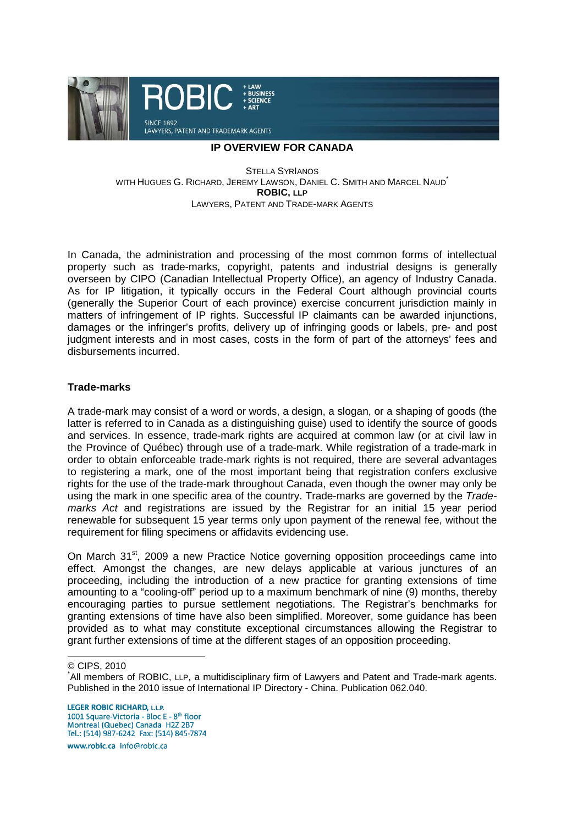

### **IP OVERVIEW FOR CANADA**

STELLA SYRIANOS WITH HUGUES G. RICHARD, JEREMY LAWSON, DANIEL C. SMITH AND MARCEL NAUD<sup>\*</sup> **ROBIC, LLP** LAWYERS, PATENT AND TRADE-MARK AGENTS

In Canada, the administration and processing of the most common forms of intellectual property such as trade-marks, copyright, patents and industrial designs is generally overseen by CIPO (Canadian Intellectual Property Office), an agency of Industry Canada. As for IP litigation, it typically occurs in the Federal Court although provincial courts (generally the Superior Court of each province) exercise concurrent jurisdiction mainly in matters of infringement of IP rights. Successful IP claimants can be awarded injunctions, damages or the infringer's profits, delivery up of infringing goods or labels, pre- and post judgment interests and in most cases, costs in the form of part of the attorneys' fees and disbursements incurred.

## **Trade-marks**

A trade-mark may consist of a word or words, a design, a slogan, or a shaping of goods (the latter is referred to in Canada as a distinguishing guise) used to identify the source of goods and services. In essence, trade-mark rights are acquired at common law (or at civil law in the Province of Québec) through use of a trade-mark. While registration of a trade-mark in order to obtain enforceable trade-mark rights is not required, there are several advantages to registering a mark, one of the most important being that registration confers exclusive rights for the use of the trade-mark throughout Canada, even though the owner may only be using the mark in one specific area of the country. Trade-marks are governed by the Trademarks Act and registrations are issued by the Registrar for an initial 15 year period renewable for subsequent 15 year terms only upon payment of the renewal fee, without the requirement for filing specimens or affidavits evidencing use.

On March 31<sup>st</sup>, 2009 a new Practice Notice governing opposition proceedings came into effect. Amongst the changes, are new delays applicable at various junctures of an proceeding, including the introduction of a new practice for granting extensions of time amounting to a "cooling-off" period up to a maximum benchmark of nine (9) months, thereby encouraging parties to pursue settlement negotiations. The Registrar's benchmarks for granting extensions of time have also been simplified. Moreover, some guidance has been provided as to what may constitute exceptional circumstances allowing the Registrar to grant further extensions of time at the different stages of an opposition proceeding.

© CIPS, 2010

 $\overline{a}$ 

**LEGER ROBIC RICHARD, L.L.P.** 1001 Square-Victoria - Bloc E - 8<sup>th</sup> floor Montreal (Quebec) Canada H2Z 2B7 Tel.: (514) 987-6242 Fax: (514) 845-7874

www.robic.ca\_info@robic.ca

<sup>\*</sup>All members of ROBIC, LLP, a multidisciplinary firm of Lawyers and Patent and Trade-mark agents. Published in the 2010 issue of International IP Directory - China. Publication 062.040.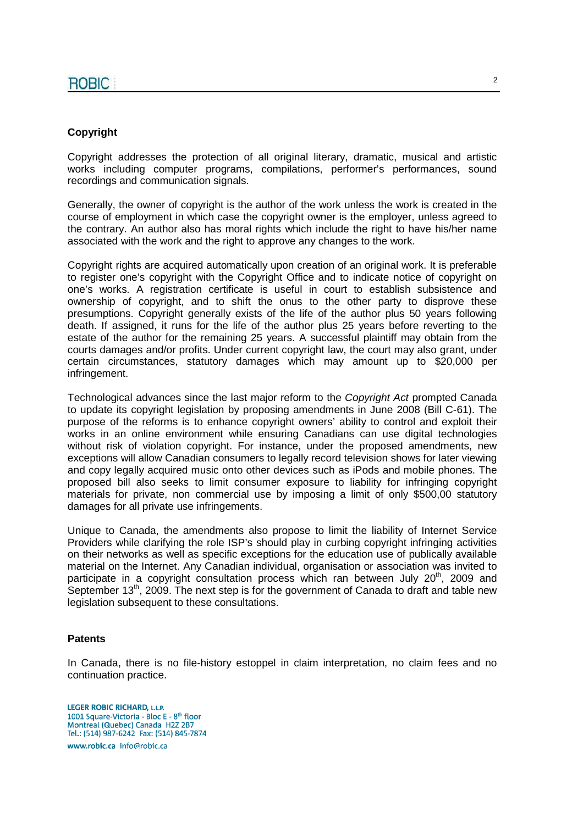## **Copyright**

Copyright addresses the protection of all original literary, dramatic, musical and artistic works including computer programs, compilations, performer's performances, sound recordings and communication signals.

Generally, the owner of copyright is the author of the work unless the work is created in the course of employment in which case the copyright owner is the employer, unless agreed to the contrary. An author also has moral rights which include the right to have his/her name associated with the work and the right to approve any changes to the work.

Copyright rights are acquired automatically upon creation of an original work. It is preferable to register one's copyright with the Copyright Office and to indicate notice of copyright on one's works. A registration certificate is useful in court to establish subsistence and ownership of copyright, and to shift the onus to the other party to disprove these presumptions. Copyright generally exists of the life of the author plus 50 years following death. If assigned, it runs for the life of the author plus 25 years before reverting to the estate of the author for the remaining 25 years. A successful plaintiff may obtain from the courts damages and/or profits. Under current copyright law, the court may also grant, under certain circumstances, statutory damages which may amount up to \$20,000 per infringement.

Technological advances since the last major reform to the Copyright Act prompted Canada to update its copyright legislation by proposing amendments in June 2008 (Bill C-61). The purpose of the reforms is to enhance copyright owners' ability to control and exploit their works in an online environment while ensuring Canadians can use digital technologies without risk of violation copyright. For instance, under the proposed amendments, new exceptions will allow Canadian consumers to legally record television shows for later viewing and copy legally acquired music onto other devices such as iPods and mobile phones. The proposed bill also seeks to limit consumer exposure to liability for infringing copyright materials for private, non commercial use by imposing a limit of only \$500,00 statutory damages for all private use infringements.

Unique to Canada, the amendments also propose to limit the liability of Internet Service Providers while clarifying the role ISP's should play in curbing copyright infringing activities on their networks as well as specific exceptions for the education use of publically available material on the Internet. Any Canadian individual, organisation or association was invited to participate in a copyright consultation process which ran between July  $20<sup>th</sup>$ , 2009 and September  $13<sup>th</sup>$ , 2009. The next step is for the government of Canada to draft and table new legislation subsequent to these consultations.

## **Patents**

In Canada, there is no file-history estoppel in claim interpretation, no claim fees and no continuation practice.

**LEGER ROBIC RICHARD, L.L.P.** 1001 Square-Victoria - Bloc E - 8<sup>th</sup> floor Montreal (Quebec) Canada H2Z 2B7 Tel.: (514) 987-6242 Fax: (514) 845-7874 www.robic.ca\_info@robic.ca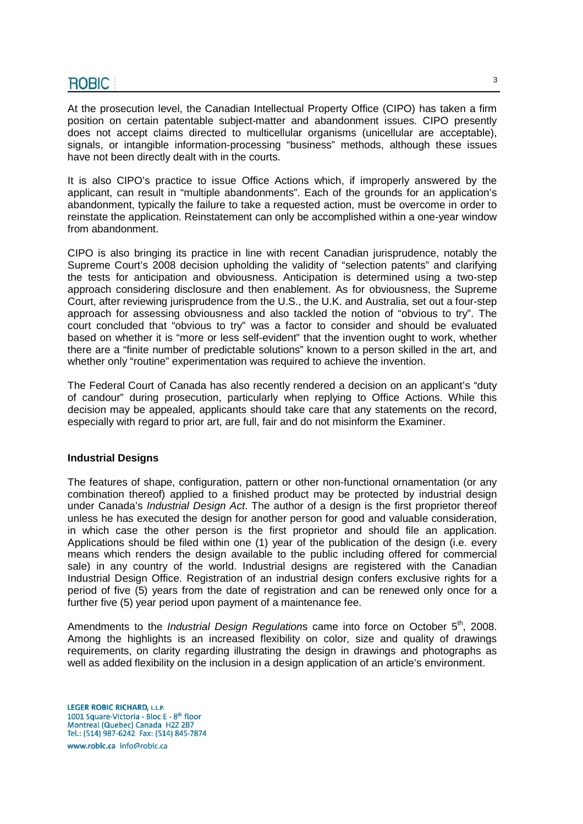At the prosecution level, the Canadian Intellectual Property Office (CIPO) has taken a firm position on certain patentable subject-matter and abandonment issues. CIPO presently does not accept claims directed to multicellular organisms (unicellular are acceptable), signals, or intangible information-processing "business" methods, although these issues have not been directly dealt with in the courts.

It is also CIPO's practice to issue Office Actions which, if improperly answered by the applicant, can result in "multiple abandonments". Each of the grounds for an application's abandonment, typically the failure to take a requested action, must be overcome in order to reinstate the application. Reinstatement can only be accomplished within a one-year window from abandonment.

CIPO is also bringing its practice in line with recent Canadian jurisprudence, notably the Supreme Court's 2008 decision upholding the validity of "selection patents" and clarifying the tests for anticipation and obviousness. Anticipation is determined using a two-step approach considering disclosure and then enablement. As for obviousness, the Supreme Court, after reviewing jurisprudence from the U.S., the U.K. and Australia, set out a four-step approach for assessing obviousness and also tackled the notion of "obvious to try". The court concluded that "obvious to try" was a factor to consider and should be evaluated based on whether it is "more or less self-evident" that the invention ought to work, whether there are a "finite number of predictable solutions" known to a person skilled in the art, and whether only "routine" experimentation was required to achieve the invention.

The Federal Court of Canada has also recently rendered a decision on an applicant's "duty of candour" during prosecution, particularly when replying to Office Actions. While this decision may be appealed, applicants should take care that any statements on the record, especially with regard to prior art, are full, fair and do not misinform the Examiner.

## **Industrial Designs**

The features of shape, configuration, pattern or other non-functional ornamentation (or any combination thereof) applied to a finished product may be protected by industrial design under Canada's Industrial Design Act. The author of a design is the first proprietor thereof unless he has executed the design for another person for good and valuable consideration, in which case the other person is the first proprietor and should file an application. Applications should be filed within one (1) year of the publication of the design (i.e. every means which renders the design available to the public including offered for commercial sale) in any country of the world. Industrial designs are registered with the Canadian Industrial Design Office. Registration of an industrial design confers exclusive rights for a period of five (5) years from the date of registration and can be renewed only once for a further five (5) year period upon payment of a maintenance fee.

Amendments to the *Industrial Design Regulations* came into force on October  $5<sup>th</sup>$ , 2008. Among the highlights is an increased flexibility on color, size and quality of drawings requirements, on clarity regarding illustrating the design in drawings and photographs as well as added flexibility on the inclusion in a design application of an article's environment.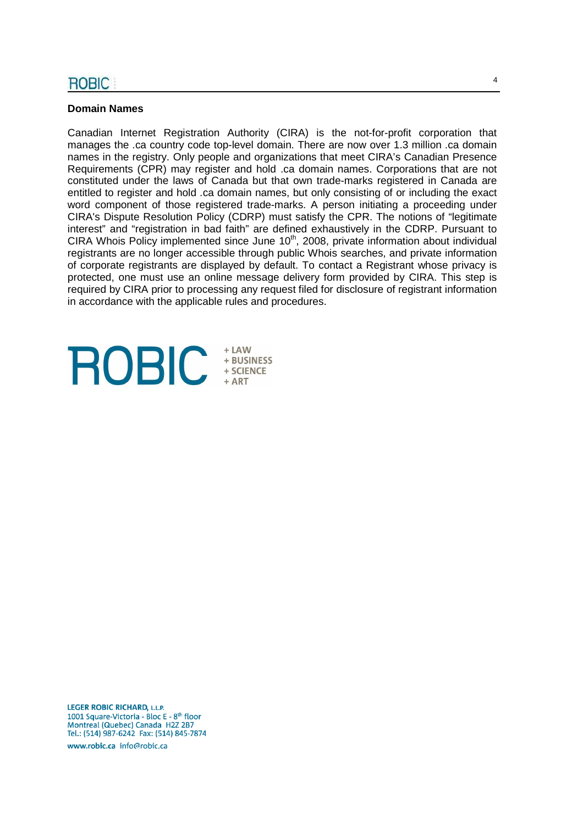## **Domain Names**

Canadian Internet Registration Authority (CIRA) is the not-for-profit corporation that manages the .ca country code top-level domain. There are now over 1.3 million .ca domain names in the registry. Only people and organizations that meet CIRA's Canadian Presence Requirements (CPR) may register and hold .ca domain names. Corporations that are not constituted under the laws of Canada but that own trade-marks registered in Canada are entitled to register and hold .ca domain names, but only consisting of or including the exact word component of those registered trade-marks. A person initiating a proceeding under CIRA's Dispute Resolution Policy (CDRP) must satisfy the CPR. The notions of "legitimate interest" and "registration in bad faith" are defined exhaustively in the CDRP. Pursuant to CIRA Whois Policy implemented since June 10<sup>th</sup>, 2008, private information about individual registrants are no longer accessible through public Whois searches, and private information of corporate registrants are displayed by default. To contact a Registrant whose privacy is protected, one must use an online message delivery form provided by CIRA. This step is required by CIRA prior to processing any request filed for disclosure of registrant information in accordance with the applicable rules and procedures.

# $+$  LAW **ROBIC** + BUSINESS<br>+ SCIENCE

**LEGER ROBIC RICHARD, L.L.P.** 1001 Square-Victoria - Bloc E - 8<sup>th</sup> floor Montreal (Quebec) Canada H2Z 2B7 Tel.: (514) 987-6242 Fax: (514) 845-7874

www.robic.ca\_info@robic.ca